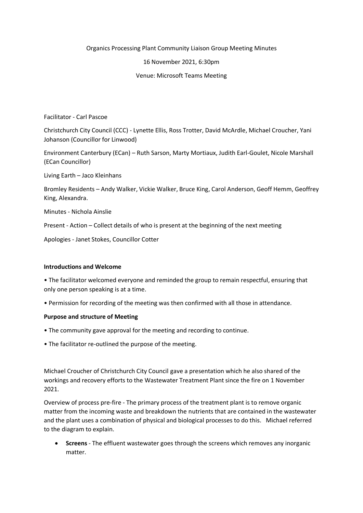Organics Processing Plant Community Liaison Group Meeting Minutes

### 16 November 2021, 6:30pm

### Venue: Microsoft Teams Meeting

Facilitator - Carl Pascoe

Christchurch City Council (CCC) - Lynette Ellis, Ross Trotter, David McArdle, Michael Croucher, Yani Johanson (Councillor for Linwood)

Environment Canterbury (ECan) – Ruth Sarson, Marty Mortiaux, Judith Earl-Goulet, Nicole Marshall (ECan Councillor)

Living Earth – Jaco Kleinhans

Bromley Residents – Andy Walker, Vickie Walker, Bruce King, Carol Anderson, Geoff Hemm, Geoffrey King, Alexandra.

Minutes - Nichola Ainslie

Present - Action – Collect details of who is present at the beginning of the next meeting

Apologies - Janet Stokes, Councillor Cotter

#### **Introductions and Welcome**

• The facilitator welcomed everyone and reminded the group to remain respectful, ensuring that only one person speaking is at a time.

• Permission for recording of the meeting was then confirmed with all those in attendance.

#### **Purpose and structure of Meeting**

- The community gave approval for the meeting and recording to continue.
- The facilitator re-outlined the purpose of the meeting.

Michael Croucher of Christchurch City Council gave a presentation which he also shared of the workings and recovery efforts to the Wastewater Treatment Plant since the fire on 1 November 2021.

Overview of process pre-fire - The primary process of the treatment plant is to remove organic matter from the incoming waste and breakdown the nutrients that are contained in the wastewater and the plant uses a combination of physical and biological processes to do this. Michael referred to the diagram to explain.

 **Screens** - The effluent wastewater goes through the screens which removes any inorganic matter.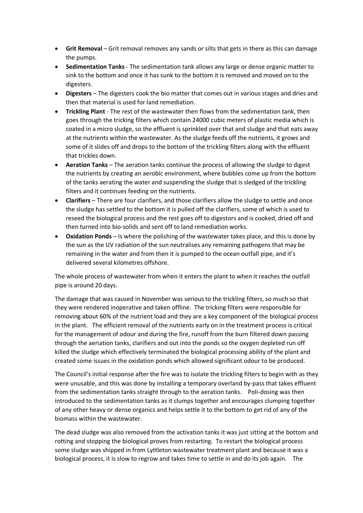- **Grit Removal** Grit removal removes any sands or silts that gets in there as this can damage the pumps.
- **Sedimentation Tanks** The sedimentation tank allows any large or dense organic matter to sink to the bottom and once it has sunk to the bottom it is removed and moved on to the digesters.
- **Digesters** The digesters cook the bio matter that comes out in various stages and dries and then that material is used for land remediation.
- **Trickling Plant** The rest of the wastewater then flows from the sedimentation tank, then goes through the tricking filters which contain 24000 cubic meters of plastic media which is coated in a micro sludge, so the effluent is sprinkled over that and sludge and that eats away at the nutrients within the wastewater. As the sludge feeds off the nutrients, it grows and some of it slides off and drops to the bottom of the trickling filters along with the effluent that trickles down.
- **Aeration Tanks** The aeration tanks continue the process of allowing the sludge to digest the nutrients by creating an aerobic environment, where bubbles come up from the bottom of the tanks aerating the water and suspending the sludge that is sledged of the trickling filters and it continues feeding on the nutrients.
- **•** Clarifiers There are four clarifiers, and those clarifiers allow the sludge to settle and once the sludge has settled to the bottom it is pulled off the clarifiers, some of which is used to reseed the biological process and the rest goes off to digestors and is cooked, dried off and then turned into bio-solids and sent off to land remediation works.
- **Oxidation Ponds** Is where the polishing of the wastewater takes place, and this is done by the sun as the UV radiation of the sun neutralises any remaining pathogens that may be remaining in the water and from then it is pumped to the ocean outfall pipe, and it's delivered several kilometres offshore.

The whole process of wastewater from when it enters the plant to when it reaches the outfall pipe is around 20 days.

The damage that was caused in November was serious to the trickling filters, so much so that they were rendered inoperative and taken offline. The tricking filters were responsible for removing about 60% of the nutrient load and they are a key component of the biological process in the plant. The efficient removal of the nutrients early on in the treatment process is critical for the management of odour and during the fire, runoff from the burn filtered down passing through the aeriation tanks, clarifiers and out into the ponds so the oxygen depleted run off killed the sludge which effectively terminated the biological processing ability of the plant and created some issues in the oxidation ponds which allowed significant odour to be produced.

The Council's initial response after the fire was to isolate the trickling filters to begin with as they were unusable, and this was done by installing a temporary overland by-pass that takes effluent from the sedimentation tanks straight through to the aeration tanks. Poli-dosing was then introduced to the sedimentation tanks as it clumps together and encourages clumping together of any other heavy or dense organics and helps settle it to the bottom to get rid of any of the biomass within the wastewater.

The dead sludge was also removed from the activation tanks it was just sitting at the bottom and rotting and stopping the biological proves from restarting. To restart the biological process some sludge was shipped in from Lyttleton wastewater treatment plant and because it was a biological process, it is slow to regrow and takes time to settle in and do its job again. The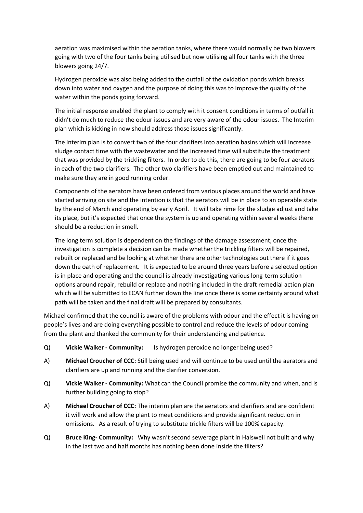aeration was maximised within the aeration tanks, where there would normally be two blowers going with two of the four tanks being utilised but now utilising all four tanks with the three blowers going 24/7.

Hydrogen peroxide was also being added to the outfall of the oxidation ponds which breaks down into water and oxygen and the purpose of doing this was to improve the quality of the water within the ponds going forward.

The initial response enabled the plant to comply with it consent conditions in terms of outfall it didn't do much to reduce the odour issues and are very aware of the odour issues. The Interim plan which is kicking in now should address those issues significantly.

The interim plan is to convert two of the four clarifiers into aeration basins which will increase sludge contact time with the wastewater and the increased time will substitute the treatment that was provided by the trickling filters. In order to do this, there are going to be four aerators in each of the two clarifiers. The other two clarifiers have been emptied out and maintained to make sure they are in good running order.

Components of the aerators have been ordered from various places around the world and have started arriving on site and the intention is that the aerators will be in place to an operable state by the end of March and operating by early April. It will take rime for the sludge adjust and take its place, but it's expected that once the system is up and operating within several weeks there should be a reduction in smell.

The long term solution is dependent on the findings of the damage assessment, once the investigation is complete a decision can be made whether the trickling filters will be repaired, rebuilt or replaced and be looking at whether there are other technologies out there if it goes down the oath of replacement. It is expected to be around three years before a selected option is in place and operating and the council is already investigating various long-term solution options around repair, rebuild or replace and nothing included in the draft remedial action plan which will be submitted to ECAN further down the line once there is some certainty around what path will be taken and the final draft will be prepared by consultants.

Michael confirmed that the council is aware of the problems with odour and the effect it is having on people's lives and are doing everything possible to control and reduce the levels of odour coming from the plant and thanked the community for their understanding and patience.

- Q) **Vickie Walker - Community:** Is hydrogen peroxide no longer being used?
- A) **Michael Croucher of CCC:** Still being used and will continue to be used until the aerators and clarifiers are up and running and the clarifier conversion.
- Q) **Vickie Walker - Community:** What can the Council promise the community and when, and is further building going to stop?
- A) **Michael Croucher of CCC:** The interim plan are the aerators and clarifiers and are confident it will work and allow the plant to meet conditions and provide significant reduction in omissions. As a result of trying to substitute trickle filters will be 100% capacity.
- Q) **Bruce King- Community:** Why wasn't second sewerage plant in Halswell not built and why in the last two and half months has nothing been done inside the filters?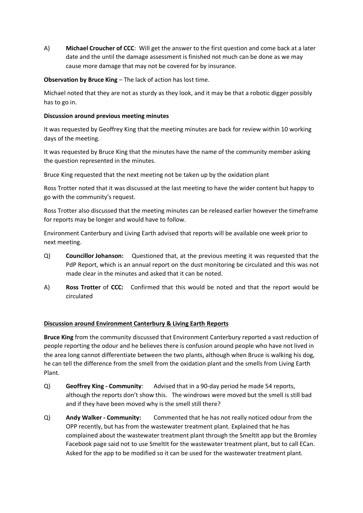A) **Michael Croucher of CCC**: Will get the answer to the first question and come back at a later date and the until the damage assessment is finished not much can be done as we may cause more damage that may not be covered for by insurance.

# **Observation by Bruce King** – The lack of action has lost time.

Michael noted that they are not as sturdy as they look, and it may be that a robotic digger possibly has to go in.

# **Discussion around previous meeting minutes**

It was requested by Geoffrey King that the meeting minutes are back for review within 10 working days of the meeting.

It was requested by Bruce King that the minutes have the name of the community member asking the question represented in the minutes.

Bruce King requested that the next meeting not be taken up by the oxidation plant

Ross Trotter noted that it was discussed at the last meeting to have the wider content but happy to go with the community's request.

Ross Trotter also discussed that the meeting minutes can be released earlier however the timeframe for reports may be longer and would have to follow.

Environment Canterbury and Living Earth advised that reports will be available one week prior to next meeting.

- Q) **Councillor Johanson:** Questioned that, at the previous meeting it was requested that the PdP Report, which is an annual report on the dust monitoring be circulated and this was not made clear in the minutes and asked that it can be noted.
- A) **Ross Trotter** of **CCC:** Confirmed that this would be noted and that the report would be circulated

# **Discussion around Environment Canterbury & Living Earth Reports**

**Bruce King** from the community discussed that Environment Canterbury reported a vast reduction of people reporting the odour and he believes there is confusion around people who have not lived in the area long cannot differentiate between the two plants, although when Bruce is walking his dog, he can tell the difference from the smell from the oxidation plant and the smells from Living Earth Plant.

- Q) **Geoffrey King - Community**: Advised that in a 90-day period he made 54 reports, although the reports don't show this. The windrows were moved but the smell is still bad and if they have been moved why is the smell still there?
- Q) **Andy Walker - Community:** Commented that he has not really noticed odour from the OPP recently, but has from the wastewater treatment plant. Explained that he has complained about the wastewater treatment plant through the SmeltIt app but the Bromley Facebook page said not to use SmeltIt for the wastewater treatment plant, but to call ECan. Asked for the app to be modified so it can be used for the wastewater treatment plant.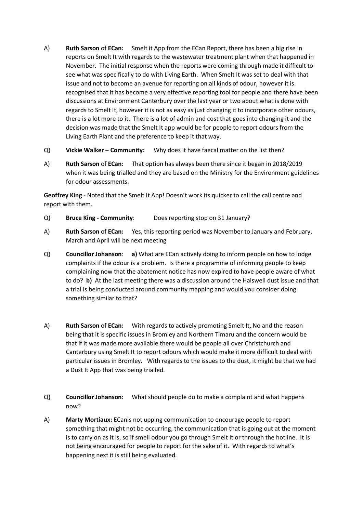- A) **Ruth Sarson** of **ECan:** Smelt it App from the ECan Report, there has been a big rise in reports on Smelt It with regards to the wastewater treatment plant when that happened in November. The initial response when the reports were coming through made it difficult to see what was specifically to do with Living Earth. When Smelt It was set to deal with that issue and not to become an avenue for reporting on all kinds of odour, however it is recognised that it has become a very effective reporting tool for people and there have been discussions at Environment Canterbury over the last year or two about what is done with regards to Smelt It, however it is not as easy as just changing it to incorporate other odours, there is a lot more to it. There is a lot of admin and cost that goes into changing it and the decision was made that the Smelt It app would be for people to report odours from the Living Earth Plant and the preference to keep it that way.
- Q) **Vickie Walker – Community:** Why does it have faecal matter on the list then?
- A) **Ruth Sarson** of **ECan:** That option has always been there since it began in 2018/2019 when it was being trialled and they are based on the Ministry for the Environment guidelines for odour assessments.

**Geoffrey King** - Noted that the Smelt It App! Doesn't work its quicker to call the call centre and report with them.

- Q) **Bruce King - Community**: Does reporting stop on 31 January?
- A) **Ruth Sarson** of **ECan:** Yes, this reporting period was November to January and February, March and April will be next meeting
- Q) **Councillor Johanson**: **a)** What are ECan actively doing to inform people on how to lodge complaints if the odour is a problem. Is there a programme of informing people to keep complaining now that the abatement notice has now expired to have people aware of what to do? **b)** At the last meeting there was a discussion around the Halswell dust issue and that a trial is being conducted around community mapping and would you consider doing something similar to that?
- A) **Ruth Sarson** of **ECan:** With regards to actively promoting Smelt It, No and the reason being that it is specific issues in Bromley and Northern Timaru and the concern would be that if it was made more available there would be people all over Christchurch and Canterbury using Smelt It to report odours which would make it more difficult to deal with particular issues in Bromley. With regards to the issues to the dust, it might be that we had a Dust It App that was being trialled.
- Q) **Councillor Johanson:** What should people do to make a complaint and what happens now?
- A) **Marty Mortiaux:** ECanis not upping communication to encourage people to report something that might not be occurring, the communication that is going out at the moment is to carry on as it is, so if smell odour you go through Smelt It or through the hotline. It is not being encouraged for people to report for the sake of it. With regards to what's happening next it is still being evaluated.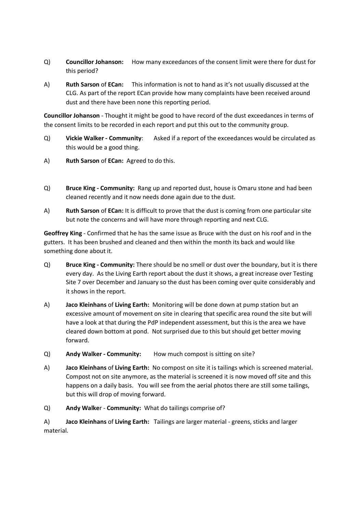- Q) **Councillor Johanson:** How many exceedances of the consent limit were there for dust for this period?
- A) **Ruth Sarson** of **ECan:** This information is not to hand as it's not usually discussed at the CLG. As part of the report ECan provide how many complaints have been received around dust and there have been none this reporting period.

**Councillor Johanson** - Thought it might be good to have record of the dust exceedances in terms of the consent limits to be recorded in each report and put this out to the community group.

- Q) **Vickie Walker - Community**: Asked if a report of the exceedances would be circulated as this would be a good thing.
- A) **Ruth Sarson** of **ECan:** Agreed to do this.
- Q) **Bruce King - Community:** Rang up and reported dust, house is Omaru stone and had been cleaned recently and it now needs done again due to the dust.
- A) **Ruth Sarson** of **ECan:** It is difficult to prove that the dust is coming from one particular site but note the concerns and will have more through reporting and next CLG.

**Geoffrey King** - Confirmed that he has the same issue as Bruce with the dust on his roof and in the gutters. It has been brushed and cleaned and then within the month its back and would like something done about it.

- Q) **Bruce King - Community:** There should be no smell or dust over the boundary, but it is there every day. As the Living Earth report about the dust it shows, a great increase over Testing Site 7 over December and January so the dust has been coming over quite considerably and it shows in the report.
- A) **Jaco Kleinhans** of **Living Earth:** Monitoring will be done down at pump station but an excessive amount of movement on site in clearing that specific area round the site but will have a look at that during the PdP independent assessment, but this is the area we have cleared down bottom at pond. Not surprised due to this but should get better moving forward.
- Q) **Andy Walker - Community:** How much compost is sitting on site?
- A) **Jaco Kleinhans** of **Living Earth:** No compost on site it is tailings which is screened material. Compost not on site anymore, as the material is screened it is now moved off site and this happens on a daily basis. You will see from the aerial photos there are still some tailings, but this will drop of moving forward.
- Q) **Andy Walke**r **Community:** What do tailings comprise of?

A) **Jaco Kleinhans** of **Living Earth:** Tailings are larger material - greens, sticks and larger material.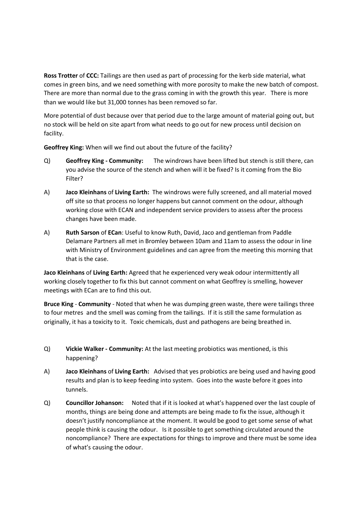**Ross Trotter** of **CCC:** Tailings are then used as part of processing for the kerb side material, what comes in green bins, and we need something with more porosity to make the new batch of compost. There are more than normal due to the grass coming in with the growth this year. There is more than we would like but 31,000 tonnes has been removed so far.

More potential of dust because over that period due to the large amount of material going out, but no stock will be held on site apart from what needs to go out for new process until decision on facility.

**Geoffrey King:** When will we find out about the future of the facility?

- Q) **Geoffrey King - Community:** The windrows have been lifted but stench is still there, can you advise the source of the stench and when will it be fixed? Is it coming from the Bio Filter?
- A) **Jaco Kleinhans** of **Living Earth:** The windrows were fully screened, and all material moved off site so that process no longer happens but cannot comment on the odour, although working close with ECAN and independent service providers to assess after the process changes have been made.
- A) **Ruth Sarson** of **ECan**: Useful to know Ruth, David, Jaco and gentleman from Paddle Delamare Partners all met in Bromley between 10am and 11am to assess the odour in line with Ministry of Environment guidelines and can agree from the meeting this morning that that is the case.

**Jaco Kleinhans** of **Living Earth:** Agreed that he experienced very weak odour intermittently all working closely together to fix this but cannot comment on what Geoffrey is smelling, however meetings with ECan are to find this out.

**Bruce King** - **Community** - Noted that when he was dumping green waste, there were tailings three to four metres and the smell was coming from the tailings. If it is still the same formulation as originally, it has a toxicity to it. Toxic chemicals, dust and pathogens are being breathed in.

- Q) **Vickie Walker - Community:** At the last meeting probiotics was mentioned, is this happening?
- A) **Jaco Kleinhans** of **Living Earth:** Advised that yes probiotics are being used and having good results and plan is to keep feeding into system. Goes into the waste before it goes into tunnels.
- Q) **Councillor Johanson:** Noted that if it is looked at what's happened over the last couple of months, things are being done and attempts are being made to fix the issue, although it doesn't justify noncompliance at the moment. It would be good to get some sense of what people think is causing the odour. Is it possible to get something circulated around the noncompliance? There are expectations for things to improve and there must be some idea of what's causing the odour.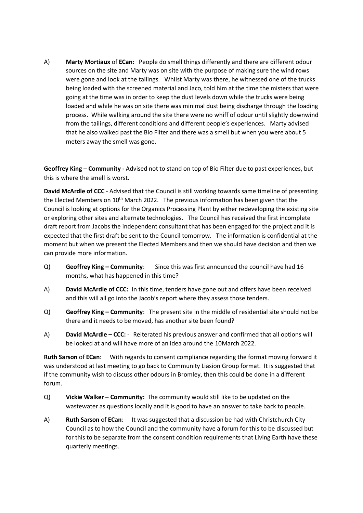A) **Marty Mortiaux** of **ECan:** People do smell things differently and there are different odour sources on the site and Marty was on site with the purpose of making sure the wind rows were gone and look at the tailings. Whilst Marty was there, he witnessed one of the trucks being loaded with the screened material and Jaco, told him at the time the misters that were going at the time was in order to keep the dust levels down while the trucks were being loaded and while he was on site there was minimal dust being discharge through the loading process. While walking around the site there were no whiff of odour until slightly downwind from the tailings, different conditions and different people's experiences. Marty advised that he also walked past the Bio Filter and there was a smell but when you were about 5 meters away the smell was gone.

**Geoffrey King** – **Community -** Advised not to stand on top of Bio Filter due to past experiences, but this is where the smell is worst.

**David McArdle of CCC** - Advised that the Council is still working towards same timeline of presenting the Elected Members on 10<sup>th</sup> March 2022. The previous information has been given that the Council is looking at options for the Organics Processing Plant by either redeveloping the existing site or exploring other sites and alternate technologies. The Council has received the first incomplete draft report from Jacobs the independent consultant that has been engaged for the project and it is expected that the first draft be sent to the Council tomorrow. The information is confidential at the moment but when we present the Elected Members and then we should have decision and then we can provide more information.

- Q) **Geoffrey King – Community**: Since this was first announced the council have had 16 months, what has happened in this time?
- A) **David McArdle of CCC:** In this time, tenders have gone out and offers have been received and this will all go into the Jacob's report where they assess those tenders.
- Q) **Geoffrey King – Community**: The present site in the middle of residential site should not be there and it needs to be moved, has another site been found?
- A) **David McArdle – CCC:** Reiterated his previous answer and confirmed that all options will be looked at and will have more of an idea around the 10March 2022.

**Ruth Sarson** of **ECan**: With regards to consent compliance regarding the format moving forward it was understood at last meeting to go back to Community Liasion Group format. It is suggested that if the community wish to discuss other odours in Bromley, then this could be done in a different forum.

- Q) **Vickie Walker – Community:** The community would still like to be updated on the wastewater as questions locally and it is good to have an answer to take back to people.
- A) **Ruth Sarson** of **ECan**: It was suggested that a discussion be had with Christchurch City Council as to how the Council and the community have a forum for this to be discussed but for this to be separate from the consent condition requirements that Living Earth have these quarterly meetings.